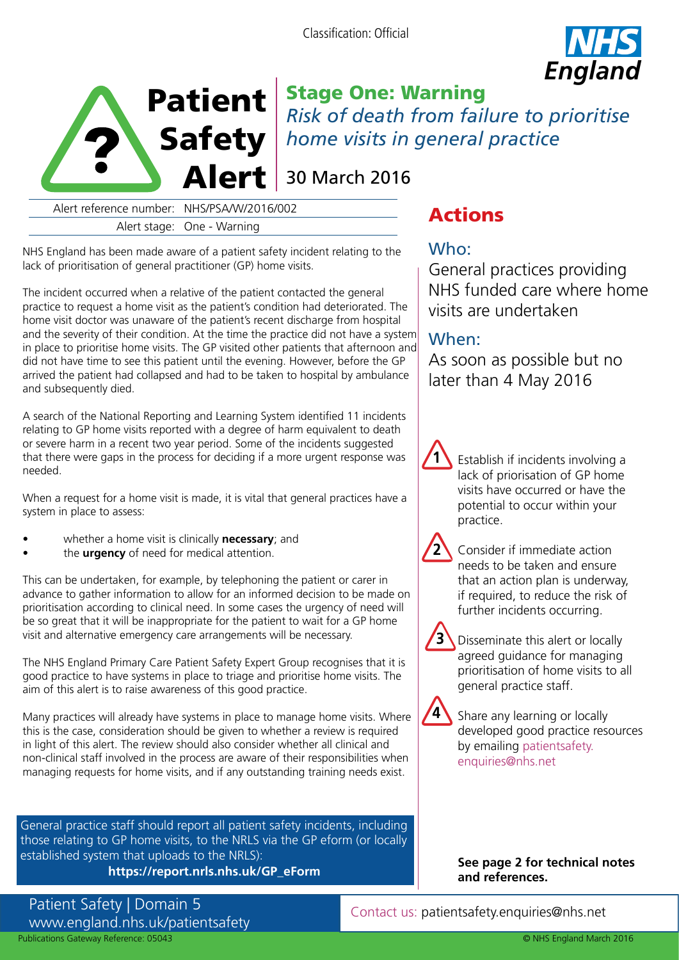Classification: Official





Stage One: Warning *Risk of death from failure to prioritise*  Safety | home visits in general practice

30 March 2016

Alert reference number: NHS/PSA/W/2016/002 **Actions**<br>Alert stage: One - Warning

NHS England has been made aware of a patient safety incident relating to the lack of prioritisation of general practitioner (GP) home visits.

The incident occurred when a relative of the patient contacted the general practice to request a home visit as the patient's condition had deteriorated. The home visit doctor was unaware of the patient's recent discharge from hospital and the severity of their condition. At the time the practice did not have a system in place to prioritise home visits. The GP visited other patients that afternoon and did not have time to see this patient until the evening. However, before the GP arrived the patient had collapsed and had to be taken to hospital by ambulance and subsequently died.

A search of the National Reporting and Learning System identified 11 incidents relating to GP home visits reported with a degree of harm equivalent to death or severe harm in a recent two year period. Some of the incidents suggested that there were gaps in the process for deciding if a more urgent response was needed.

When a request for a home visit is made, it is vital that general practices have a system in place to assess:

- whether a home visit is clinically **necessary**; and
- the **urgency** of need for medical attention.

This can be undertaken, for example, by telephoning the patient or carer in advance to gather information to allow for an informed decision to be made on prioritisation according to clinical need. In some cases the urgency of need will be so great that it will be inappropriate for the patient to wait for a GP home visit and alternative emergency care arrangements will be necessary.

The NHS England Primary Care Patient Safety Expert Group recognises that it is good practice to have systems in place to triage and prioritise home visits. The aim of this alert is to raise awareness of this good practice.

Many practices will already have systems in place to manage home visits. Where this is the case, consideration should be given to whether a review is required in light of this alert. The review should also consider whether all clinical and non-clinical staff involved in the process are aware of their responsibilities when managing requests for home visits, and if any outstanding training needs exist.

General practice staff should report all patient safety incidents, including those relating to GP home visits, to the NRLS via the GP eform (or locally established system that uploads to the NRLS):

## **https://report.nrls.nhs.uk/GP\_eForm**

Patient Safety | Domain 5 www.england.nhs.uk/patientsafety Publications Gateway Reference: 05043

## Who:

General practices providing NHS funded care where home visits are undertaken

# When:

 $\mathbf{1}$ 

**2** 

**4** 

As soon as possible but no later than 4 May 2016

> Establish if incidents involving a lack of priorisation of GP home visits have occurred or have the potential to occur within your practice.

Consider if immediate action needs to be taken and ensure that an action plan is underway, if required, to reduce the risk of further incidents occurring.

**3**  Disseminate this alert or locally agreed guidance for managing prioritisation of home visits to all general practice staff.

Share any learning or locally developed good practice resources by emailing [patientsafety.](mailto:patientsafety.enquiries@nhs.net)  [enquiries@nhs.net](mailto:patientsafety.enquiries@nhs.net) 

**and references.** 

**See page 2 for technical notes** 

Contact us: patientsafety.enquiries@nhs.net